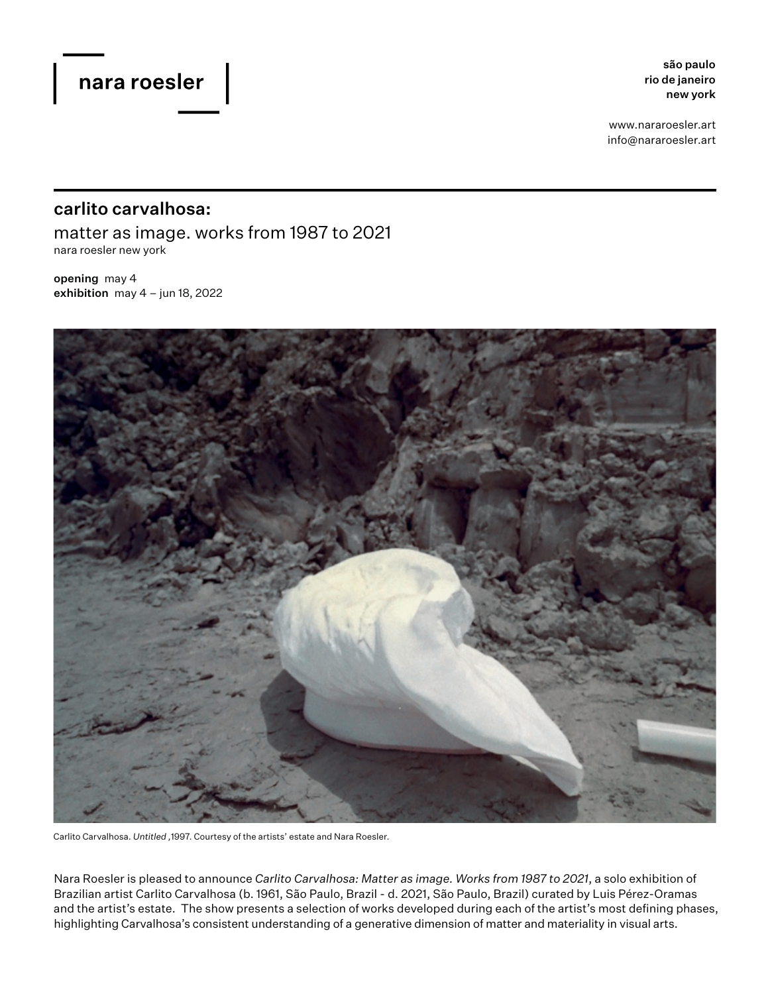são paulo rio de janeiro new york

www.nararoesler.art info@nararoesler.art

## carlito carvalhosa:

matter as image. works from 1987 to 2021 nara roesler new york

opening may 4 exhibition may  $4 - j$ un 18, 2022



Carlito Carvalhosa. *Untitled ,*1997. Courtesy of the artists' estate and Nara Roesler.

Nara Roesler is pleased to announce *Carlito Carvalhosa: Matter as image. Works from 1987 to 2021*, a solo exhibition of Brazilian artist Carlito Carvalhosa (b. 1961, São Paulo, Brazil - d. 2021, São Paulo, Brazil) curated by Luis Pérez-Oramas and the artist's estate. The show presents a selection of works developed during each of the artist's most defining phases, highlighting Carvalhosa's consistent understanding of a generative dimension of matter and materiality in visual arts.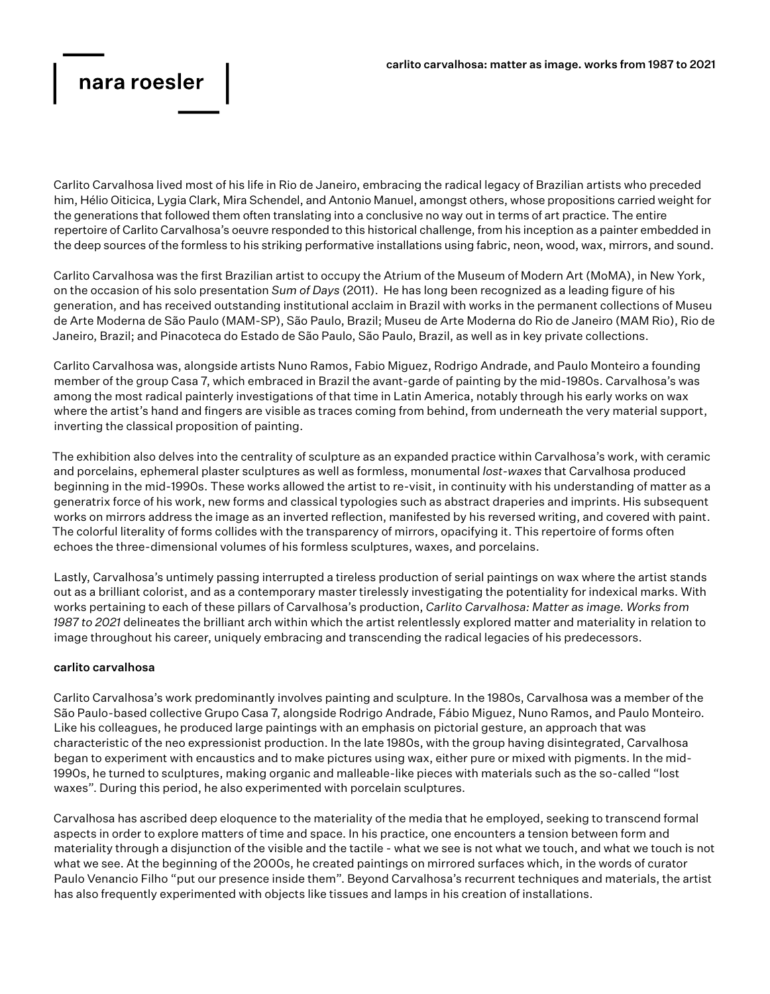# nara roesler

Carlito Carvalhosa lived most of his life in Rio de Janeiro, embracing the radical legacy of Brazilian artists who preceded him, Hélio Oiticica, Lygia Clark, Mira Schendel, and Antonio Manuel, amongst others, whose propositions carried weight for the generations that followed them often translating into a conclusive no way out in terms of art practice. The entire repertoire of Carlito Carvalhosa's oeuvre responded to this historical challenge, from his inception as a painter embedded in the deep sources of the formless to his striking performative installations using fabric, neon, wood, wax, mirrors, and sound.

Carlito Carvalhosa was the first Brazilian artist to occupy the Atrium of the Museum of Modern Art (MoMA), in New York, on the occasion of his solo presentation *Sum of Days* (2011). He has long been recognized as a leading figure of his generation, and has received outstanding institutional acclaim in Brazil with works in the permanent collections of Museu de Arte Moderna de São Paulo (MAM-SP), São Paulo, Brazil; Museu de Arte Moderna do Rio de Janeiro (MAM Rio), Rio de Janeiro, Brazil; and Pinacoteca do Estado de São Paulo, São Paulo, Brazil, as well as in key private collections.

Carlito Carvalhosa was, alongside artists Nuno Ramos, Fabio Miguez, Rodrigo Andrade, and Paulo Monteiro a founding member of the group Casa 7, which embraced in Brazil the avant-garde of painting by the mid-1980s. Carvalhosa's was among the most radical painterly investigations of that time in Latin America, notably through his early works on wax where the artist's hand and fingers are visible as traces coming from behind, from underneath the very material support, inverting the classical proposition of painting.

The exhibition also delves into the centrality of sculpture as an expanded practice within Carvalhosa's work, with ceramic and porcelains, ephemeral plaster sculptures as well as formless, monumental *lost-waxes* that Carvalhosa produced beginning in the mid-1990s. These works allowed the artist to re-visit, in continuity with his understanding of matter as a generatrix force of his work, new forms and classical typologies such as abstract draperies and imprints. His subsequent works on mirrors address the image as an inverted reflection, manifested by his reversed writing, and covered with paint. The colorful literality of forms collides with the transparency of mirrors, opacifying it. This repertoire of forms often echoes the three-dimensional volumes of his formless sculptures, waxes, and porcelains.

Lastly, Carvalhosa's untimely passing interrupted a tireless production of serial paintings on wax where the artist stands out as a brilliant colorist, and as a contemporary master tirelessly investigating the potentiality for indexical marks. With works pertaining to each of these pillars of Carvalhosa's production, *Carlito Carvalhosa: Matter as image. Works from 1987 to 2021* delineates the brilliant arch within which the artist relentlessly explored matter and materiality in relation to image throughout his career, uniquely embracing and transcending the radical legacies of his predecessors.

## carlito carvalhosa

Carlito Carvalhosa's work predominantly involves painting and sculpture. In the 1980s, Carvalhosa was a member of the São Paulo-based collective Grupo Casa 7, alongside Rodrigo Andrade, Fábio Miguez, Nuno Ramos, and Paulo Monteiro. Like his colleagues, he produced large paintings with an emphasis on pictorial gesture, an approach that was characteristic of the neo expressionist production. In the late 1980s, with the group having disintegrated, Carvalhosa began to experiment with encaustics and to make pictures using wax, either pure or mixed with pigments. In the mid-1990s, he turned to sculptures, making organic and malleable-like pieces with materials such as the so-called "lost waxes". During this period, he also experimented with porcelain sculptures.

Carvalhosa has ascribed deep eloquence to the materiality of the media that he employed, seeking to transcend formal aspects in order to explore matters of time and space. In his practice, one encounters a tension between form and materiality through a disjunction of the visible and the tactile - what we see is not what we touch, and what we touch is not what we see. At the beginning of the 2000s, he created paintings on mirrored surfaces which, in the words of curator Paulo Venancio Filho "put our presence inside them". Beyond Carvalhosa's recurrent techniques and materials, the artist has also frequently experimented with objects like tissues and lamps in his creation of installations.